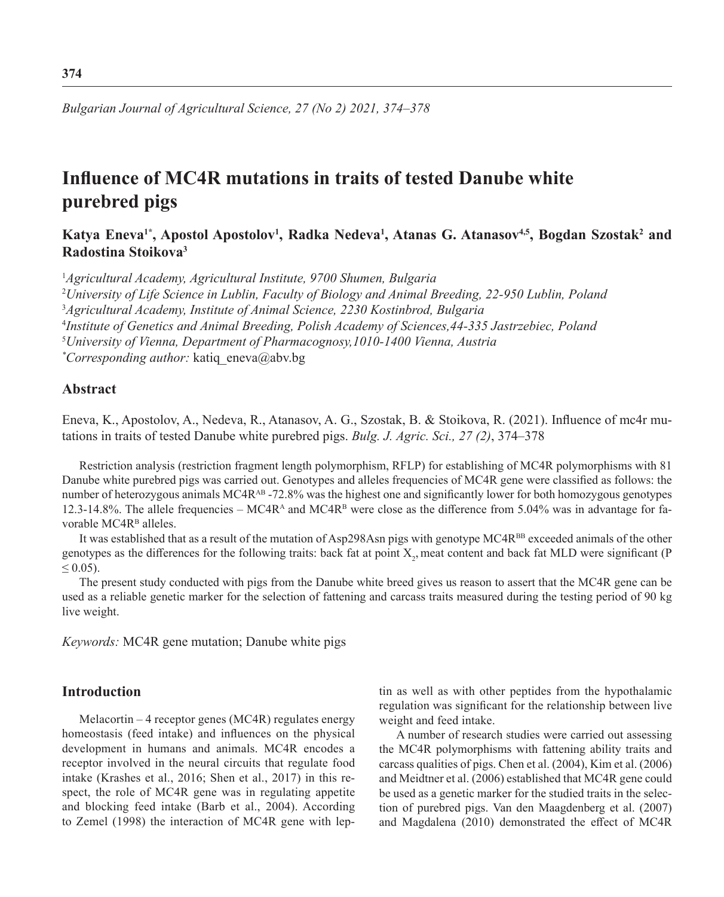*Bulgarian Journal of Agricultural Science, 27 (No 2) 2021, 374–378*

# **Influence of MC4R mutations in traits of tested Danube white purebred pigs**

**Katya Eneva1\*, Apostol Apostolov<sup>1</sup> , Radka Nedeva<sup>1</sup> , Atanas G. Atanasov4,5, Bogdan Szostak<sup>2</sup> and Radostina Stoikova<sup>3</sup>**

1 *Agricultural Academy, Agricultural Institute, 9700 Shumen, Bulgaria*

2 *University of Life Science in Lublin, Faculty of Biology and Animal Breeding, 22-950 Lublin, Poland*

3 *Agricultural Academy, Institute of Animal Science, 2230 Kostinbrod, Bulgaria*

4 *Institute of Genetics and Animal Breeding, Polish Academy of Sciences,44-335 Jastrzebiec, Poland*

5 *University of Vienna, Department of Pharmacognosy,1010-1400 Vienna, Austria*

*\* Corresponding author:* katiq\_eneva@abv.bg

### **Abstract**

Eneva, K., Apostolov, A., Nedeva, R., Atanasov, A. G., Szostak, B. & Stoikova, R. (2021). Influence of mc4r mutations in traits of tested Danube white purebred pigs. *Bulg. J. Agric. Sci., 27 (2)*, 374–378

Restriction analysis (restriction fragment length polymorphism, RFLP) for establishing of MC4R polymorphisms with 81 Danube white purebred pigs was carried out. Genotypes and alleles frequencies of MC4R gene were classified as follows: the number of heterozygous animals MC4R<sup>AB</sup> -72.8% was the highest one and significantly lower for both homozygous genotypes 12.3-14.8%. The allele frequencies – MC4R<sup>A</sup> and MC4R<sup>B</sup> were close as the difference from 5.04% was in advantage for favorable  $MC4R<sup>B</sup>$  alleles.

It was established that as a result of the mutation of Asp298Asn pigs with genotype MC4R<sup>BB</sup> exceeded animals of the other genotypes as the differences for the following traits: back fat at point  $X_2$ , meat content and back fat MLD were significant (P  $\leq 0.05$ ).

The present study conducted with pigs from the Danube white breed gives us reason to assert that the MC4R gene can be used as a reliable genetic marker for the selection of fattening and carcass traits measured during the testing period of 90 kg live weight.

*Keywords:* MC4R gene mutation; Danube white pigs

## **Introduction**

Melacortin – 4 receptor genes (MC4R) regulates energy homeostasis (feed intake) and influences on the physical development in humans and animals. MC4R encodes a receptor involved in the neural circuits that regulate food intake (Krashes et al., 2016; Shen et al., 2017) in this respect, the role of MC4R gene was in regulating appetite and blocking feed intake (Barb et al., 2004). According to Zemel (1998) the interaction of MC4R gene with leptin as well as with other peptides from the hypothalamic regulation was significant for the relationship between live weight and feed intake.

A number of research studies were carried out assessing the MC4R polymorphisms with fattening ability traits and carcass qualities of pigs. Chen et al. (2004), Kim et al. (2006) and Meidtner et al. (2006) established that MC4R gene could be used as a genetic marker for the studied traits in the selection of purebred pigs. Van den Maagdenberg et al. (2007) and Magdalena (2010) demonstrated the effect of MC4R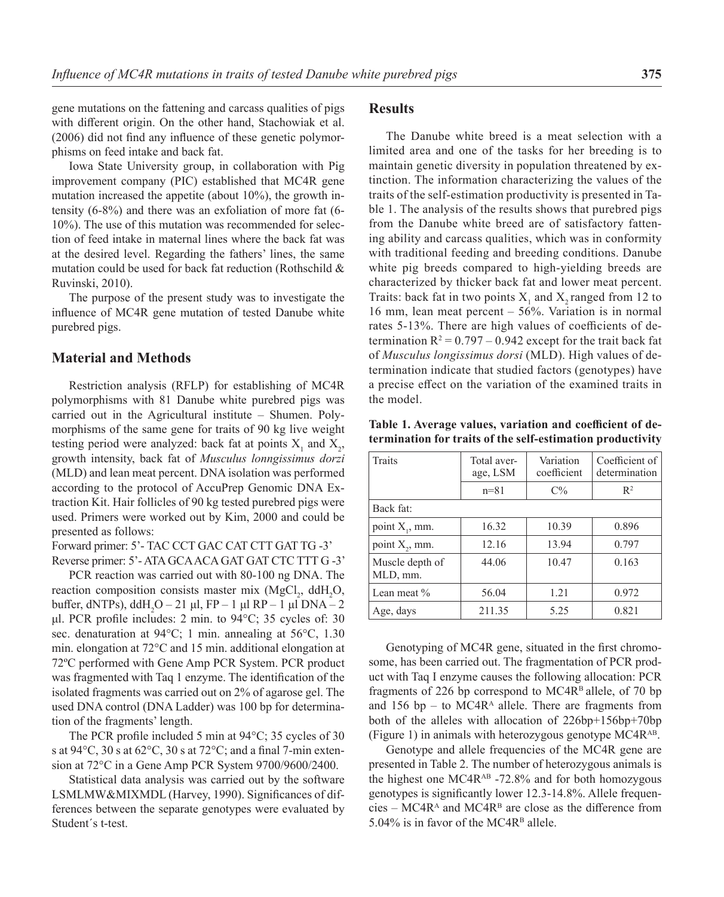gene mutations on the fattening and carcass qualities of pigs with different origin. On the other hand, Stachowiak et al. (2006) did not find any influence of these genetic polymorphisms on feed intake and back fat.

Iowa State University group, in collaboration with Pig improvement company (PIC) established that MC4R gene mutation increased the appetite (about 10%), the growth intensity (6-8%) and there was an exfoliation of more fat (6- 10%). The use of this mutation was recommended for selection of feed intake in maternal lines where the back fat was at the desired level. Regarding the fathers' lines, the same mutation could be used for back fat reduction (Rothschild & Ruvinski, 2010).

The purpose of the present study was to investigate the influence of MC4R gene mutation of tested Danube white purebred pigs.

#### **Material and Methods**

Restriction analysis (RFLP) for establishing of MC4R polymorphisms with 81 Danube white purebred pigs was carried out in the Agricultural institute – Shumen. Polymorphisms of the same gene for traits of 90 kg live weight testing period were analyzed: back fat at points  $X_1$  and  $X_2$ , growth intensity, back fat of *Musculus lonngissimus dorzi* (MLD) and lean meat percent. DNA isolation was performed according to the protocol of AccuPrep Genomic DNA Extraction Kit. Hair follicles of 90 kg tested purebred pigs were used. Primers were worked out by Kim, 2000 and could be presented as follows:

Forward primer: 5'- TAC CCT GAC CAT CTT GAT TG -3' Reverse primer: 5'- ATA GCA ACA GAT GAT CTC TTT G -3'

PCR reaction was carried out with 80-100 ng DNA. The reaction composition consists master mix  $(MgCl<sub>2</sub>, ddH<sub>2</sub>O,$ buffer, dNTPs), ddH<sub>2</sub>O − 21 μl, FP − 1 μl RP − 1 μl DNA − 2 μl. PCR profile includes: 2 min. to 94°С; 35 cycles of: 30 sec. denaturation at 94°С; 1 min. annealing at 56°С, 1.30 min. elongation at 72°С and 15 min. additional elongation at 72ºС performed with Gene Amp PCR System. PCR product was fragmented with Taq 1 enzyme. The identification of the isolated fragments was carried out on 2% of agarose gel. The used DNA control (DNA Ladder) was 100 bp for determination of the fragments' length.

The PCR profile included 5 min at 94°C; 35 cycles of 30 s at 94°C, 30 s at 62°C, 30 s at 72°C; and a final 7-min extension at 72°C in a Gene Amp PCR System 9700/9600/2400.

Statistical data analysis was carried out by the software LSMLMW&MIXMDL (Harvey, 1990). Significances of differences between the separate genotypes were evaluated by Student´s t-test.

#### **Results**

The Danube white breed is a meat selection with a limited area and one of the tasks for her breeding is to maintain genetic diversity in population threatened by extinction. The information characterizing the values of the traits of the self-estimation productivity is presented in Table 1. The analysis of the results shows that purebred pigs from the Danube white breed are of satisfactory fattening ability and carcass qualities, which was in conformity with traditional feeding and breeding conditions. Danube white pig breeds compared to high-yielding breeds are characterized by thicker back fat and lower meat percent. Traits: back fat in two points  $X_1$  and  $X_2$  ranged from 12 to 16 mm, lean meat percent – 56%. Variation is in normal rates 5-13%. There are high values of coefficients of determination  $R^2 = 0.797 - 0.942$  except for the trait back fat of *Musculus longissimus dorsi* (MLD). High values of determination indicate that studied factors (genotypes) have a precise effect on the variation of the examined traits in the model.

**Table 1. Average values, variation and coefficient of determination for traits of the self-estimation productivity**

| Traits                      | Total aver-<br>age, LSM | Variation<br>coefficient | Coefficient of<br>determination |
|-----------------------------|-------------------------|--------------------------|---------------------------------|
|                             | $n = 81$                | $C\%$                    | $\mathbb{R}^2$                  |
| Back fat:                   |                         |                          |                                 |
| point $X_1$ , mm.           | 16.32                   | 10.39                    | 0.896                           |
| point $X_2$ , mm.           | 12.16                   | 13.94                    | 0.797                           |
| Muscle depth of<br>MLD, mm. | 44.06                   | 10.47                    | 0.163                           |
| Lean meat %                 | 56.04                   | 1.21                     | 0.972                           |
| Age, days                   | 211.35                  | 5.25                     | 0.821                           |

Genotyping of MC4R gene, situated in the first chromosome, has been carried out. The fragmentation of PCR product with Taq I enzyme causes the following allocation: PCR fragments of 226 bp correspond to  $MC4R<sup>B</sup>$  allele, of 70 bp and 156 bp – to  $MC4R<sup>A</sup>$  allele. There are fragments from both of the alleles with allocation of 226bp+156bp+70bp (Figure 1) in animals with heterozygous genotype MC4RАB.

Genotype and allele frequencies of the MC4R gene are presented in Table 2. The number of heterozygous animals is the highest one  $MC4R^{AB}$  -72.8% and for both homozygous genotypes is significantly lower 12.3-14.8%. Allele frequen $cies - MC4R<sup>A</sup>$  and  $MC4R<sup>B</sup>$  are close as the difference from 5.04% is in favor of the MC4R<sup>B</sup> allele.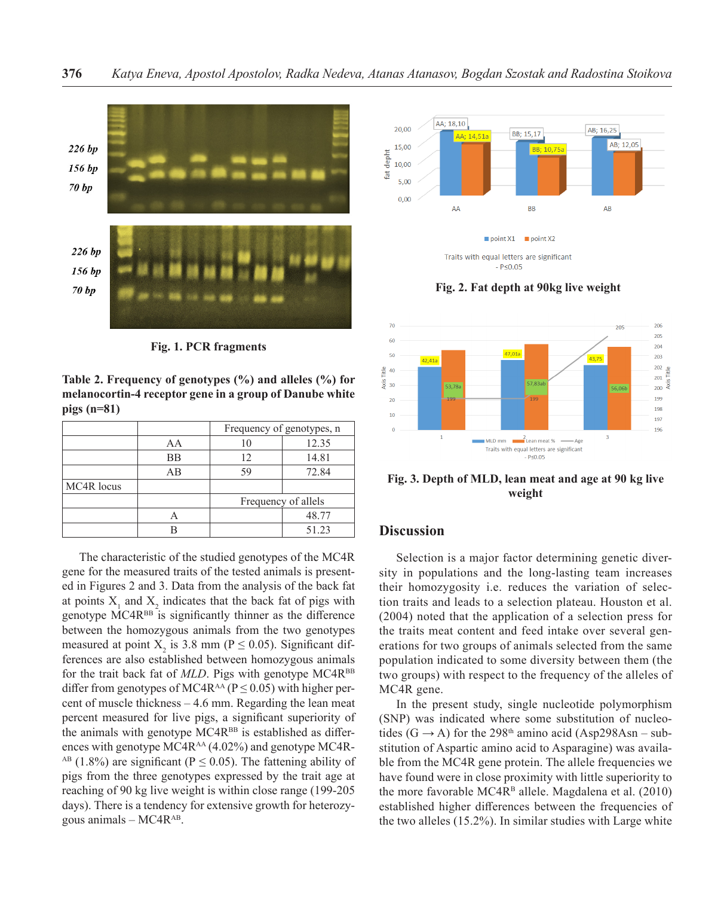

**Fig. 1. PCR fragments**

**Table 2. Frequency of genotypes (%) and alleles (%) for melanocortin-4 receptor gene in a group of Danube white pigs (n=81)**

|            |    | Frequency of genotypes, n |       |
|------------|----|---------------------------|-------|
|            | AA |                           | 12.35 |
|            | BB | 12                        | 14.81 |
|            | AB | 59                        | 72.84 |
| MC4R locus |    |                           |       |
|            |    | Frequency of allels       |       |
|            |    |                           | 48.77 |
|            |    |                           | 51.23 |

The characteristic of the studied genotypes of the MC4R gene for the measured traits of the tested animals is presented in Figures 2 and 3. Data from the analysis of the back fat at points  $X_1$  and  $X_2$  indicates that the back fat of pigs with genotype МC4RВВ is significantly thinner as the difference between the homozygous animals from the two genotypes measured at point  $X_2$  is 3.8 mm (P  $\leq$  0.05). Significant differences are also established between homozygous animals for the trait back fat of *MLD*. Pigs with genotype MC4R<sup>BB</sup> differ from genotypes of MC4R<sup>AA</sup> ( $P \le 0.05$ ) with higher percent of muscle thickness – 4.6 mm. Regarding the lean meat percent measured for live pigs, a significant superiority of the animals with genotype  $MC4R^{BB}$  is established as differences with genotype  $MC4R^{AA}$  (4.02%) and genotype MC4R-<sup>AB</sup> (1.8%) are significant ( $P \le 0.05$ ). The fattening ability of pigs from the three genotypes expressed by the trait age at reaching of 90 kg live weight is within close range (199-205 days). There is a tendency for extensive growth for heterozygous animals  $-$  MC4 $R^{AB}$ .



**Fig. 2. Fat depth at 90kg live weight**



**Fig. 3. Depth of MLD, lean meat and age at 90 kg live weight**

## **Discussion**

Selection is a major factor determining genetic diversity in populations and the long-lasting team increases their homozygosity i.e. reduces the variation of selection traits and leads to a selection plateau. Houston et al. (2004) noted that the application of a selection press for the traits meat content and feed intake over several generations for two groups of animals selected from the same population indicated to some diversity between them (the two groups) with respect to the frequency of the alleles of MC4R gene.

In the present study, single nucleotide polymorphism (SNP) was indicated where some substitution of nucleotides (G  $\rightarrow$  A) for the 298<sup>th</sup> amino acid (Asp298Asn – substitution of Aspartic amino acid to Asparagine) was available from the MC4R gene protein. The allele frequencies we have found were in close proximity with little superiority to the more favorable MC4 $R<sup>B</sup>$  allele. Magdalena et al. (2010) established higher differences between the frequencies of the two alleles (15.2%). In similar studies with Large white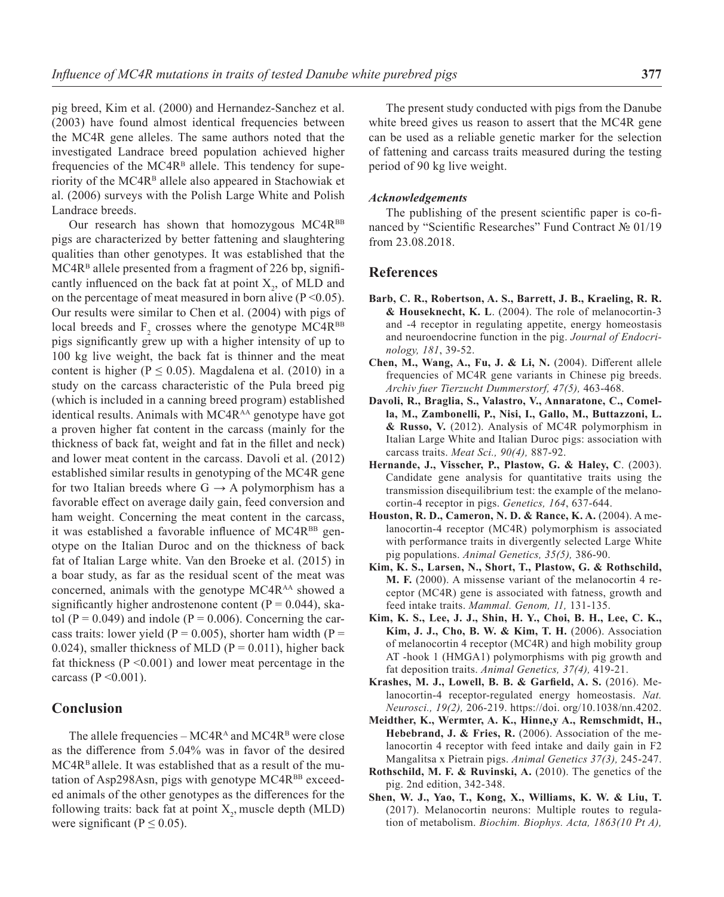pig breed, Kim et al. (2000) and Hernandez-Sanchez et al. (2003) have found almost identical frequencies between the MC4R gene alleles. The same authors noted that the investigated Landrace breed population achieved higher frequencies of the  $MC4R<sup>B</sup>$  allele. This tendency for superiority of the MC4R<sup>B</sup> allele also appeared in Stachowiak et al. (2006) surveys with the Polish Large White and Polish Landrace breeds.

Our research has shown that homozygous MC4RBB pigs are characterized by better fattening and slaughtering qualities than other genotypes. It was established that the  $MC4R<sup>B</sup>$  allele presented from a fragment of 226 bp, significantly influenced on the back fat at point  $X_2$ , of MLD and on the percentage of meat measured in born alive  $(P \le 0.05)$ . Our results were similar to Chen et al. (2004) with pigs of local breeds and  $F_2$  crosses where the genotype MC4R<sup>BB</sup> pigs significantly grew up with a higher intensity of up to 100 kg live weight, the back fat is thinner and the meat content is higher ( $P \le 0.05$ ). Magdalena et al. (2010) in a study on the carcass characteristic of the Pula breed pig (which is included in a canning breed program) established identical results. Animals with MC4R<sup>AA</sup> genotype have got a proven higher fat content in the carcass (mainly for the thickness of back fat, weight and fat in the fillet and neck) and lower meat content in the carcass. Davoli et al. (2012) established similar results in genotyping of the MC4R gene for two Italian breeds where  $G \rightarrow A$  polymorphism has a favorable effect on average daily gain, feed conversion and ham weight. Concerning the meat content in the carcass, it was established a favorable influence of MC4R<sup>BB</sup> genotype on the Italian Duroc and on the thickness of back fat of Italian Large white. Van den Broeke et al. (2015) in a boar study, as far as the residual scent of the meat was concerned, animals with the genotype MC4R<sup>AA</sup> showed a significantly higher androstenone content ( $P = 0.044$ ), skatol (P = 0.049) and indole (P = 0.006). Concerning the carcass traits: lower yield ( $P = 0.005$ ), shorter ham width ( $P =$ 0.024), smaller thickness of MLD ( $P = 0.011$ ), higher back fat thickness  $(P \le 0.001)$  and lower meat percentage in the carcass ( $P \le 0.001$ ).

#### **Conclusion**

The allele frequencies –  $MC4R<sup>A</sup>$  and  $MC4R<sup>B</sup>$  were close as the difference from 5.04% was in favor of the desired MC4R<sup>B</sup> allele. It was established that as a result of the mutation of Asp298Asn, pigs with genotype  $MC4R<sup>BB</sup>$  exceeded animals of the other genotypes as the differences for the following traits: back fat at point  $X_2$ , muscle depth (MLD) were significant ( $P \le 0.05$ ).

The present study conducted with pigs from the Danube white breed gives us reason to assert that the MC4R gene can be used as a reliable genetic marker for the selection of fattening and carcass traits measured during the testing period of 90 kg live weight.

#### *Acknowledgements*

The publishing of the present scientific paper is co-financed by "Scientific Researches" Fund Contract № 01/19 from 23.08.2018.

#### **References**

- **Barb, C. R., Robertson, A. S., Barrett, J. B., Kraeling, R. R. & Houseknecht, K. L**. (2004). The role of melanocortin-3 and -4 receptor in regulating appetite, energy homeostasis and neuroendocrine function in the pig. *Journal of Endocrinology, 181*, 39-52.
- **Chen, M., Wang, A., Fu, J. & Li, N.** (2004). Different allele frequencies of MC4R gene variants in Chinese pig breeds. *Archiv fuer Tierzucht Dummerstorf, 47(5),* 463-468.
- **Davoli, R., Braglia, S., Valastro, V., Annaratone, C., Comella, M., Zambonelli, P., Nisi, I., Gallo, M., Buttazzoni, L. & Russo, V.** (2012). Analysis of MC4R polymorphism in Italian Large White and Italian Duroc pigs: association with carcass traits. *Meat Sci., 90(4),* 887-92.
- **Hernande, J., Visscher, P., Plastow, G. & Haley, C**. (2003). Candidate gene analysis for quantitative traits using the transmission disequilibrium test: the example of the melanocortin-4 receptor in pigs. *Genetics, 164*, 637-644.
- **Houston, R. D., Cameron, N. D. & Rance, K. A.** (2004). A melanocortin-4 receptor (MC4R) polymorphism is associated with performance traits in divergently selected Large White pig populations. *Animal Genetics, 35(5),* 386-90.
- **Kim, K. S., Larsen, N., Short, T., Plastow, G. & Rothschild, M. F.** (2000). A missense variant of the melanocortin 4 receptor (MC4R) gene is associated with fatness, growth and feed intake traits. *Mammal. Genom, 11,* 131-135.
- **Kim, K. S., Lee, J. J., Shin, H. Y., Choi, B. H., Lee, C. K., Kim, J. J., Cho, B. W. & Kim, T. H.** (2006). Association of melanocortin 4 receptor (MC4R) and high mobility group AT -hook 1 (HMGA1) polymorphisms with pig growth and fat deposition traits. *Animal Genetics, 37(4),* 419-21.
- **Krashes, M. J., Lowell, B. B. & Garfield, A. S.** (2016). Melanocortin-4 receptor-regulated energy homeostasis. *Nat. Neurosci., 19(2),* 206-219. https://doi. org/10.1038/nn.4202.
- **Meidther, K., Wermter, A. K., Hinne,y A., Remschmidt, H., Hebebrand, J. & Fries, R.** (2006). Association of the melanocortin 4 receptor with feed intake and daily gain in F2 Mangalitsa x Pietrain pigs. *Animal Genetics 37(3),* 245-247.
- **Rothschild, M. F. & Ruvinski, A.** (2010). The genetics of the pig. 2nd edition, 342-348.
- **Shen, W. J., Yao, T., Kong, X., Williams, K. W. & Liu, T.** (2017). Melanocortin neurons: Multiple routes to regulation of metabolism. *Biochim. Biophys. Acta, 1863(10 Pt A),*